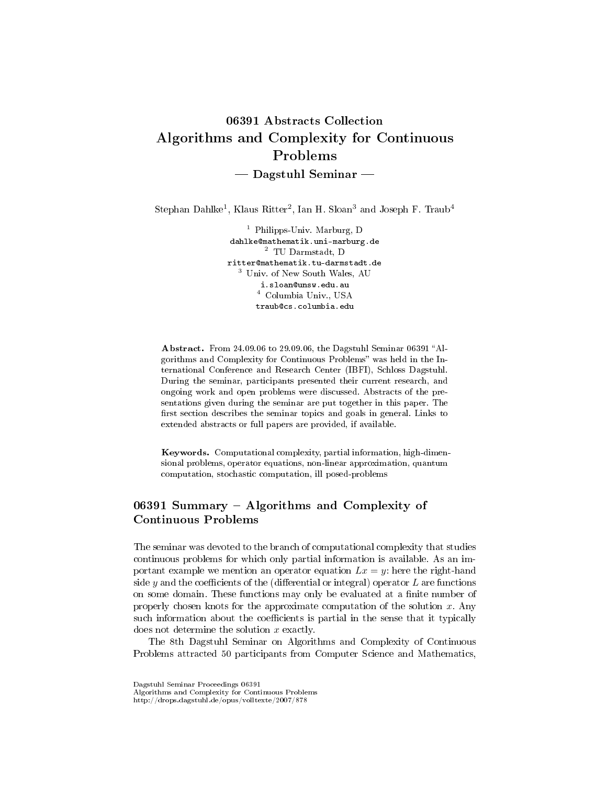# 06391 Abstracts Collection Algorithms and Complexity for Continuous Problems  $-$  Dagstuhl Seminar  $-$

Stephan Dahlke<sup>1</sup>, Klaus Ritter<sup>2</sup>, Ian H. Sloan<sup>3</sup> and Joseph F. Traub<sup>4</sup>

<sup>1</sup> Philipps-Univ. Marburg, D dahlke@mathematik.uni-marburg.de <sup>2</sup> TU Darmstadt, D ritter@mathematik.tu-darmstadt.de <sup>3</sup> Univ. of New South Wales, AU i.sloan@unsw.edu.au <sup>4</sup> Columbia Univ., USA traub@cs.columbia.edu

Abstract. From 24.09.06 to 29.09.06, the Dagstuhl Seminar 06391 "Algorithms and Complexity for Continuous Problems" was held in the International Conference and Research Center (IBFI), Schloss Dagstuhl. During the seminar, participants presented their current research, and ongoing work and open problems were discussed. Abstracts of the presentations given during the seminar are put together in this paper. The first section describes the seminar topics and goals in general. Links to extended abstracts or full papers are provided, if available.

Keywords. Computational complexity, partial information, high-dimensional problems, operator equations, non-linear approximation, quantum computation, stochastic computation, ill posed-problems

# 06391 Summary - Algorithms and Complexity of Continuous Problems

The seminar was devoted to the branch of computational complexity that studies continuous problems for which only partial information is available. As an important example we mention an operator equation  $Lx = y$ : here the right-hand side y and the coefficients of the (differential or integral) operator  $L$  are functions on some domain. These functions may only be evaluated at a finite number of properly chosen knots for the approximate computation of the solution  $x$ . Any such information about the coefficients is partial in the sense that it typically does not determine the solution x exactly.

The 8th Dagstuhl Seminar on Algorithms and Complexity of Continuous Problems attracted 50 participants from Computer Science and Mathematics,

Dagstuhl Seminar Proceedings 06391

Algorithms and Complexity for Continuous Problems

http://drops.dagstuhl.de/opus/volltexte/2007/878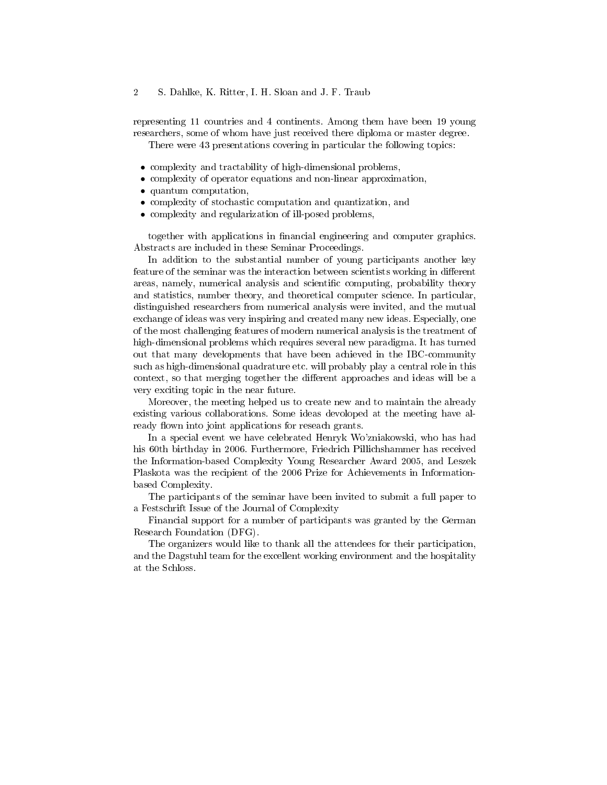representing 11 countries and 4 continents. Among them have been 19 young researchers, some of whom have just received there diploma or master degree.

There were 43 presentations covering in particular the following topics:

- complexity and tractability of high-dimensional problems,
- complexity of operator equations and non-linear approximation,
- quantum computation,
- complexity of stochastic computation and quantization, and
- complexity and regularization of ill-posed problems,

together with applications in nancial engineering and computer graphics. Abstracts are included in these Seminar Proceedings.

In addition to the substantial number of young participants another key feature of the seminar was the interaction between scientists working in different areas, namely, numerical analysis and scientific computing, probability theory and statistics, number theory, and theoretical computer science. In particular, distinguished researchers from numerical analysis were invited, and the mutual exchange of ideas was very inspiring and created many new ideas. Especially, one of the most challenging features of modern numerical analysis is the treatment of high-dimensional problems which requires several new paradigma. It has turned out that many developments that have been achieved in the IBC-community such as high-dimensional quadrature etc. will probably play a central role in this context, so that merging together the different approaches and ideas will be a very exciting topic in the near future.

Moreover, the meeting helped us to create new and to maintain the already existing various collaborations. Some ideas devoloped at the meeting have already flown into joint applications for reseach grants.

In a special event we have celebrated Henryk Wo'zniakowski, who has had his 60th birthday in 2006. Furthermore, Friedrich Pillichshammer has received the Information-based Complexity Young Researcher Award 2005, and Leszek Plaskota was the recipient of the 2006 Prize for Achievements in Informationbased Complexity.

The participants of the seminar have been invited to submit a full paper to a Festschrift Issue of the Journal of Complexity

Financial support for a number of participants was granted by the German Research Foundation (DFG).

The organizers would like to thank all the attendees for their participation, and the Dagstuhl team for the excellent working environment and the hospitality at the Schloss.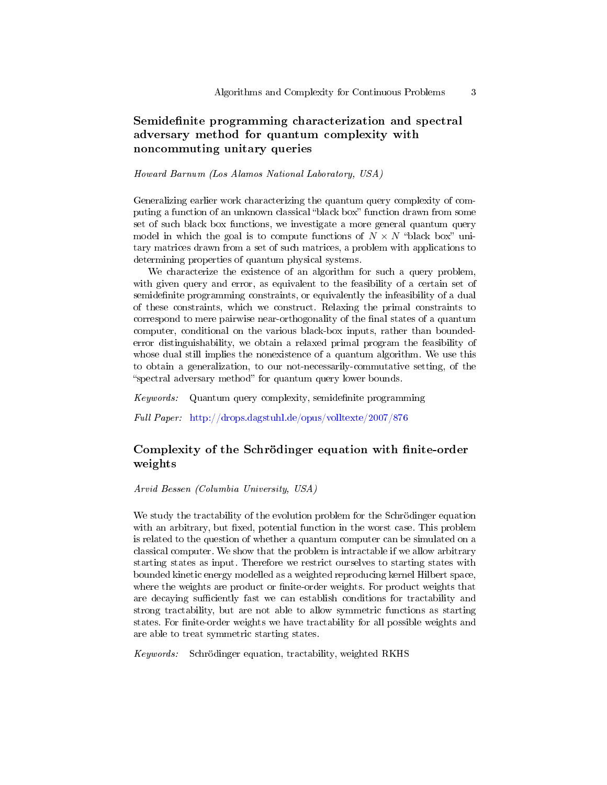# Semidefinite programming characterization and spectral adversary method for quantum complexity with noncommuting unitary queries

#### Howard Barnum (Los Alamos National Laboratory, USA)

Generalizing earlier work characterizing the quantum query complexity of computing a function of an unknown classical "black box" function drawn from some set of such black box functions, we investigate a more general quantum query model in which the goal is to compute functions of  $N \times N$  "black box" unitary matrices drawn from a set of such matrices, a problem with applications to determining properties of quantum physical systems.

We characterize the existence of an algorithm for such a query problem, with given query and error, as equivalent to the feasibility of a certain set of semidefinite programming constraints, or equivalently the infeasibility of a dual of these constraints, which we construct. Relaxing the primal constraints to correspond to mere pairwise near-orthogonality of the final states of a quantum computer, conditional on the various black-box inputs, rather than boundederror distinguishability, we obtain a relaxed primal program the feasibility of whose dual still implies the nonexistence of a quantum algorithm. We use this to obtain a generalization, to our not-necessarily-commutative setting, of the "spectral adversary method" for quantum query lower bounds.

 $Keywords:$  Quantum query complexity, semidefinite programming

Full Paper: <http://drops.dagstuhl.de/opus/volltexte/2007/876>

### Complexity of the Schrödinger equation with finite-order weights

Arvid Bessen (Columbia University, USA)

We study the tractability of the evolution problem for the Schrödinger equation with an arbitrary, but fixed, potential function in the worst case. This problem is related to the question of whether a quantum computer can be simulated on a classical computer. We show that the problem is intractable if we allow arbitrary starting states as input. Therefore we restrict ourselves to starting states with bounded kinetic energy modelled as a weighted reproducing kernel Hilbert space, where the weights are product or finite-order weights. For product weights that are decaying sufficiently fast we can establish conditions for tractability and strong tractability, but are not able to allow symmetric functions as starting states. For finite-order weights we have tractability for all possible weights and are able to treat symmetric starting states.

Keywords: Schrödinger equation, tractability, weighted RKHS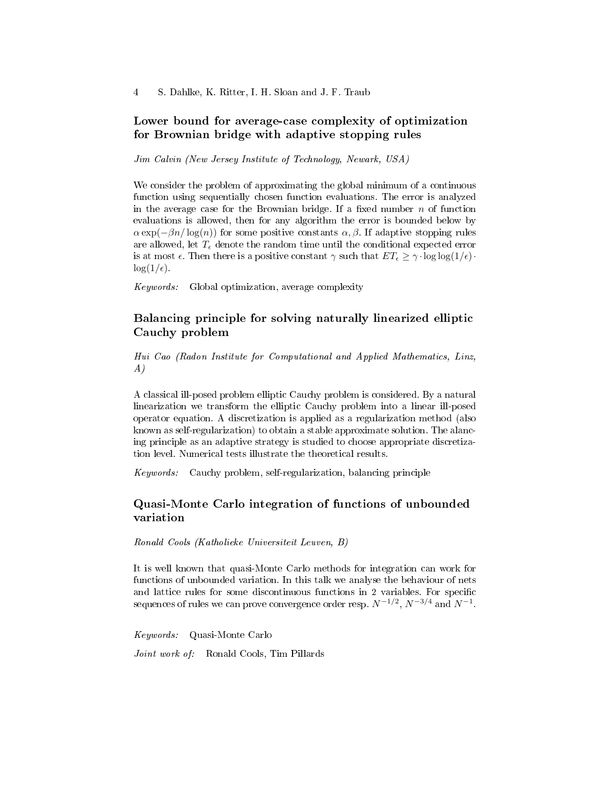### Lower bound for average-case complexity of optimization for Brownian bridge with adaptive stopping rules

Jim Calvin (New Jersey Institute of Technology, Newark, USA)

We consider the problem of approximating the global minimum of a continuous function using sequentially chosen function evaluations. The error is analyzed in the average case for the Brownian bridge. If a fixed number  $n$  of function evaluations is allowed, then for any algorithm the error is bounded below by  $\alpha \exp(-\beta n/\log(n))$  for some positive constants  $\alpha, \beta$ . If adaptive stopping rules are allowed, let  $T_{\epsilon}$  denote the random time until the conditional expected error is at most  $\epsilon$ . Then there is a positive constant  $\gamma$  such that  $ET_{\epsilon} \geq \gamma \cdot \log \log(1/\epsilon) \cdot$  $\log(1/\epsilon)$ .

Keywords: Global optimization, average complexity

# Balancing principle for solving naturally linearized elliptic Cauchy problem

Hui Cao (Radon Institute for Computational and Applied Mathematics, Linz, A)

A classical ill-posed problem elliptic Cauchy problem is considered. By a natural linearization we transform the elliptic Cauchy problem into a linear ill-posed operator equation. A discretization is applied as a regularization method (also known as self-regularization) to obtain a stable approximate solution. The alancing principle as an adaptive strategy is studied to choose appropriate discretization level. Numerical tests illustrate the theoretical results.

Keywords: Cauchy problem, self-regularization, balancing principle

# Quasi-Monte Carlo integration of functions of unbounded variation

Ronald Cools (Katholieke Universiteit Leuven, B)

It is well known that quasi-Monte Carlo methods for integration can work for functions of unbounded variation. In this talk we analyse the behaviour of nets and lattice rules for some discontinuous functions in 2 variables. For specific sequences of rules we can prove convergence order resp.  $N^{-1/2},\,N^{-3/4}$  and  $N^{-1}.$ 

Keywords: Quasi-Monte Carlo

Joint work of: Ronald Cools, Tim Pillards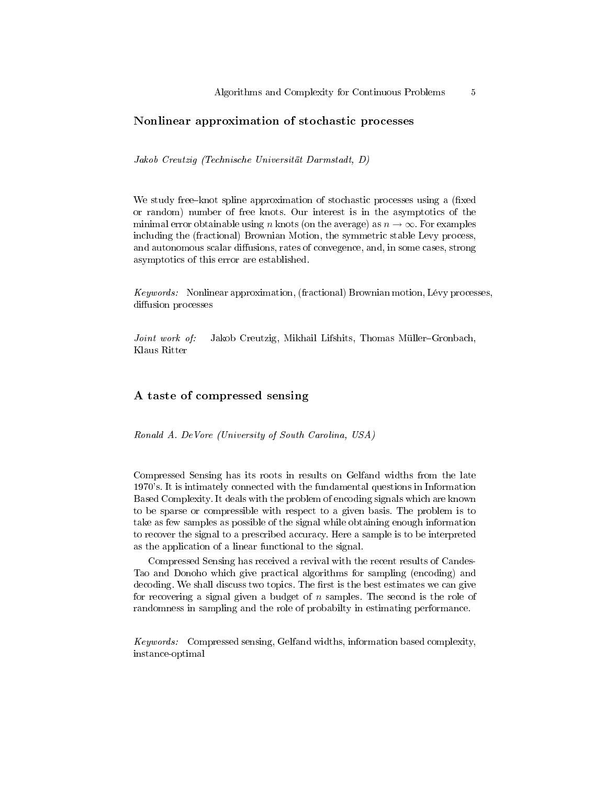### Nonlinear approximation of stochastic processes

Jakob Creutzig (Technische Universität Darmstadt, D)

We study free-knot spline approximation of stochastic processes using a (fixed or random) number of free knots. Our interest is in the asymptotics of the minimal error obtainable using n knots (on the average) as  $n \to \infty$ . For examples including the (fractional) Brownian Motion, the symmetric stable Levy process, and autonomous scalar diffusions, rates of convegence, and, in some cases, strong asymptotics of this error are established.

*Keywords:* Nonlinear approximation, (fractional) Brownian motion, Lévy processes, diffusion processes

Joint work of: Jakob Creutzig, Mikhail Lifshits, Thomas Müller-Gronbach, Klaus Ritter

### A taste of compressed sensing

Ronald A. DeVore (University of South Carolina, USA)

Compressed Sensing has its roots in results on Gelfand widths from the late 1970's. It is intimately connected with the fundamental questions in Information Based Complexity. It deals with the problem of encoding signals which are known to be sparse or compressible with respect to a given basis. The problem is to take as few samples as possible of the signal while obtaining enough information to recover the signal to a prescribed accuracy. Here a sample is to be interpreted as the application of a linear functional to the signal.

Compressed Sensing has received a revival with the recent results of Candes-Tao and Donoho which give practical algorithms for sampling (encoding) and decoding. We shall discuss two topics. The first is the best estimates we can give for recovering a signal given a budget of  $n$  samples. The second is the role of randomness in sampling and the role of probabilty in estimating performance.

Keywords: Compressed sensing, Gelfand widths, information based complexity, instance-optimal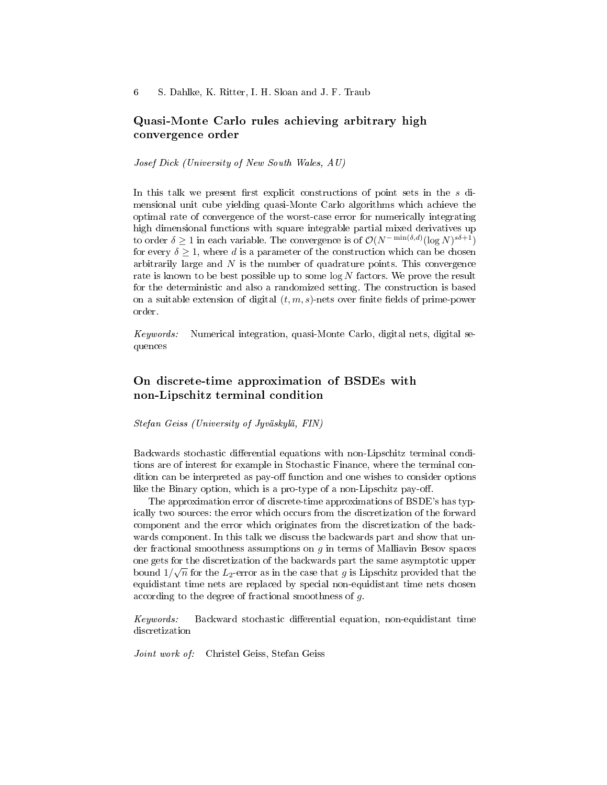### Quasi-Monte Carlo rules achieving arbitrary high convergence order

Josef Dick (University of New South Wales, AU)

In this talk we present first explicit constructions of point sets in the  $s$  dimensional unit cube yielding quasi-Monte Carlo algorithms which achieve the optimal rate of convergence of the worst-case error for numerically integrating high dimensional functions with square integrable partial mixed derivatives up to order  $\delta \geq 1$  in each variable. The convergence is of  $\mathcal{O}(N^{-\min(\delta,d)}(\log N)^{s\delta+1})$ for every  $\delta \geq 1$ , where d is a parameter of the construction which can be chosen arbitrarily large and  $N$  is the number of quadrature points. This convergence rate is known to be best possible up to some  $\log N$  factors. We prove the result for the deterministic and also a randomized setting. The construction is based on a suitable extension of digital  $(t, m, s)$ -nets over finite fields of prime-power order.

Keywords: Numerical integration, quasi-Monte Carlo, digital nets, digital sequences

# On discrete-time approximation of BSDEs with non-Lipschitz terminal condition

Stefan Geiss (University of Jyväskylä, FIN)

Backwards stochastic differential equations with non-Lipschitz terminal conditions are of interest for example in Stochastic Finance, where the terminal condition can be interpreted as pay-off function and one wishes to consider options like the Binary option, which is a pro-type of a non-Lipschitz pay-off.

The approximation error of discrete-time approximations of BSDE's has typically two sources: the error which occurs from the discretization of the forward component and the error which originates from the discretization of the backwards component. In this talk we discuss the backwards part and show that under fractional smoothness assumptions on  $q$  in terms of Malliavin Besov spaces one gets for the discretization of the backwards part the same asymptotic upper bound  $1/\sqrt{n}$  for the  $L_2$ -error as in the case that  $g$  is Lipschitz provided that the equidistant time nets are replaced by special non-equidistant time nets chosen according to the degree of fractional smoothness of g.

Keywords: Backward stochastic differential equation, non-equidistant time discretization

Joint work of: Christel Geiss, Stefan Geiss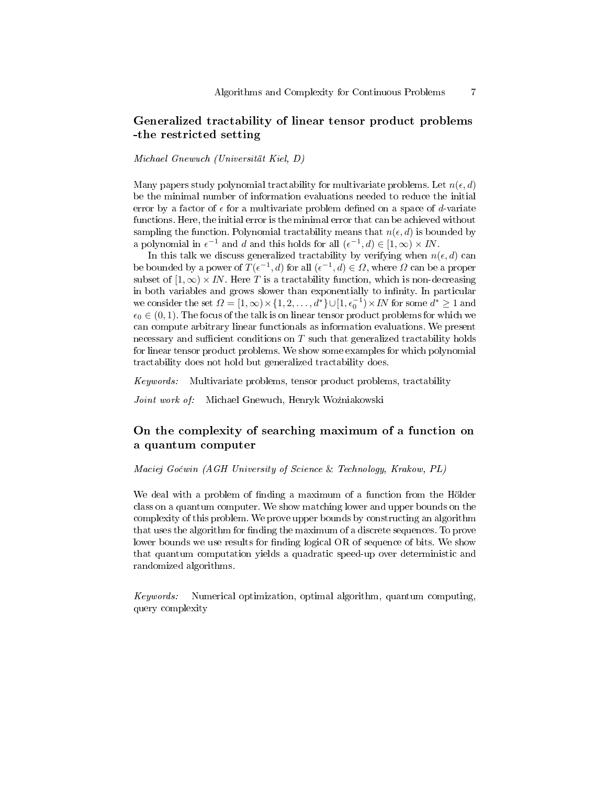# Generalized tractability of linear tensor product problems -the restricted setting

Michael Gnewuch (Universität Kiel, D)

Many papers study polynomial tractability for multivariate problems. Let  $n(\epsilon, d)$ be the minimal number of information evaluations needed to reduce the initial error by a factor of  $\epsilon$  for a multivariate problem defined on a space of d-variate functions. Here, the initial error is the minimal error that can be achieved without sampling the function. Polynomial tractability means that  $n(\epsilon, d)$  is bounded by a polynomial in  $\epsilon^{-1}$  and d and this holds for all  $(\epsilon^{-1}, d) \in [1, \infty) \times IN$ .

In this talk we discuss generalized tractability by verifying when  $n(\epsilon, d)$  can be bounded by a power of  $T(\epsilon^{-1}, d)$  for all  $(\epsilon^{-1}, d) \in \Omega$ , where  $\Omega$  can be a proper subset of  $[1,\infty) \times IN$ . Here T is a tractability function, which is non-decreasing in both variables and grows slower than exponentially to infinity. In particular we consider the set  $\Omega = [1, \infty) \times \{1, 2, \ldots, d^*\} \cup [1, \epsilon_0^{-1}) \times IN$  for some  $d^* \ge 1$  and  $\epsilon_0 \in (0, 1)$ . The focus of the talk is on linear tensor product problems for which we can compute arbitrary linear functionals as information evaluations. We present necessary and sufficient conditions on  $T$  such that generalized tractability holds for linear tensor product problems. We show some examples for which polynomial tractability does not hold but generalized tractability does.

Keywords: Multivariate problems, tensor product problems, tractability

Joint work of: Michael Gnewuch, Henryk Woźniakowski

### On the complexity of searching maximum of a function on a quantum computer

Maciej Go¢win (AGH University of Science & Technology, Krakow, PL)

We deal with a problem of finding a maximum of a function from the Hölder class on a quantum computer. We show matching lower and upper bounds on the complexity of this problem. We prove upper bounds by constructing an algorithm that uses the algorithm for finding the maximum of a discrete sequences. To prove lower bounds we use results for finding logical OR of sequence of bits. We show that quantum computation yields a quadratic speed-up over deterministic and randomized algorithms.

Keywords: Numerical optimization, optimal algorithm, quantum computing, query complexity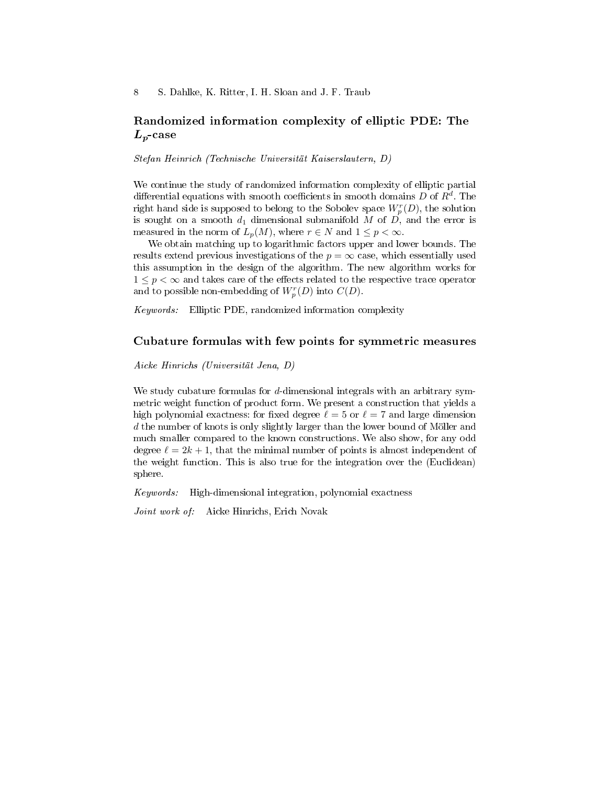# Randomized information complexity of elliptic PDE: The  $L_p\text{-}\mathrm{case}$

Stefan Heinrich (Technische Universität Kaiserslautern, D)

We continue the study of randomized information complexity of elliptic partial differential equations with smooth coefficients in smooth domains  $D$  of  $R^d$ . The right hand side is supposed to belong to the Sobolev space  $W_p^r(D)$ , the solution is sought on a smooth  $d_1$  dimensional submanifold M of D, and the error is measured in the norm of  $L_p(M)$ , where  $r \in N$  and  $1 \leq p < \infty$ .

We obtain matching up to logarithmic factors upper and lower bounds. The results extend previous investigations of the  $p = \infty$  case, which essentially used this assumption in the design of the algorithm. The new algorithm works for  $1 \leq p \leq \infty$  and takes care of the effects related to the respective trace operator and to possible non-embedding of  $W_p^r(D)$  into  $C(D)$ .

Keywords: Elliptic PDE, randomized information complexity

### Cubature formulas with few points for symmetric measures

Aicke Hinrichs (Universität Jena, D)

We study cubature formulas for  $d$ -dimensional integrals with an arbitrary symmetric weight function of product form. We present a construction that yields a high polynomial exactness: for fixed degree  $\ell = 5$  or  $\ell = 7$  and large dimension d the number of knots is only slightly larger than the lower bound of Möller and much smaller compared to the known constructions. We also show, for any odd degree  $\ell = 2k + 1$ , that the minimal number of points is almost independent of the weight function. This is also true for the integration over the (Euclidean) sphere.

Keywords: High-dimensional integration, polynomial exactness

Joint work of: Aicke Hinrichs, Erich Novak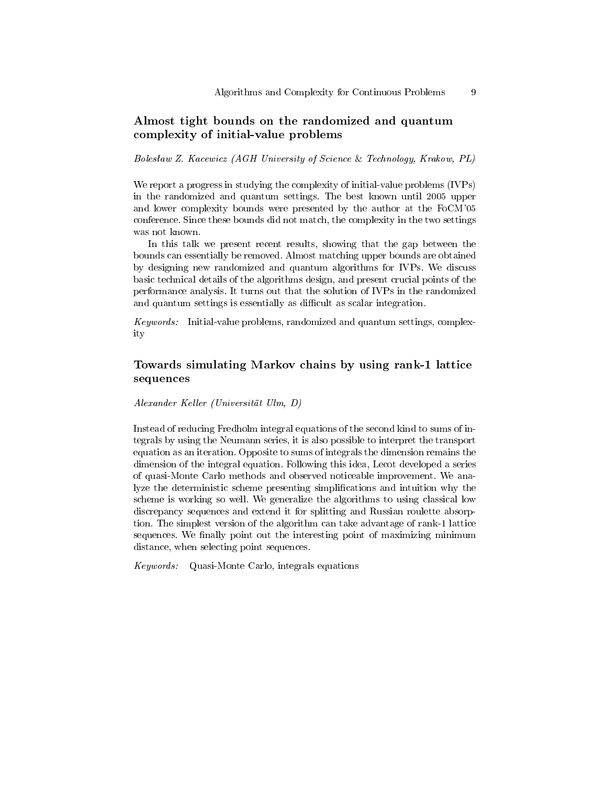# Almost tight bounds on the randomized and quantum complexity of initial-value problems

Bolesław Z. Kacewicz (AGH University of Science & Technology, Krakow, PL)

We report a progress in studying the complexity of initial-value problems (IVPs) in the randomized and quantum settings. The best known until 2005 upper and lower complexity bounds were presented by the author at the FoCM'05 conference. Since these bounds did not match, the complexity in the two settings was not known.

In this talk we present recent results, showing that the gap between the bounds can essentially be removed. Almost matching upper bounds are obtained by designing new randomized and quantum algorithms for IVPs. We discuss basic technical details of the algorithms design, and present crucial points of the performance analysis. It turns out that the solution of IVPs in the randomized and quantum settings is essentially as difficult as scalar integration.

Keywords: Initial-value problems, randomized and quantum settings, complexity

# Towards simulating Markov chains by using rank-1 lattice sequences

Alexander Keller (Universität Ulm, D)

Instead of reducing Fredholm integral equations of the second kind to sums of integrals by using the Neumann series, it is also possible to interpret the transport equation as an iteration. Opposite to sums of integrals the dimension remains the dimension of the integral equation. Following this idea, Lecot developed a series of quasi-Monte Carlo methods and observed noticeable improvement. We analyze the deterministic scheme presenting simplications and intuition why the scheme is working so well. We generalize the algorithms to using classical low discrepancy sequences and extend it for splitting and Russian roulette absorption. The simplest version of the algorithm can take advantage of rank-1 lattice sequences. We finally point out the interesting point of maximizing minimum distance, when selecting point sequences.

Keywords: Quasi-Monte Carlo, integrals equations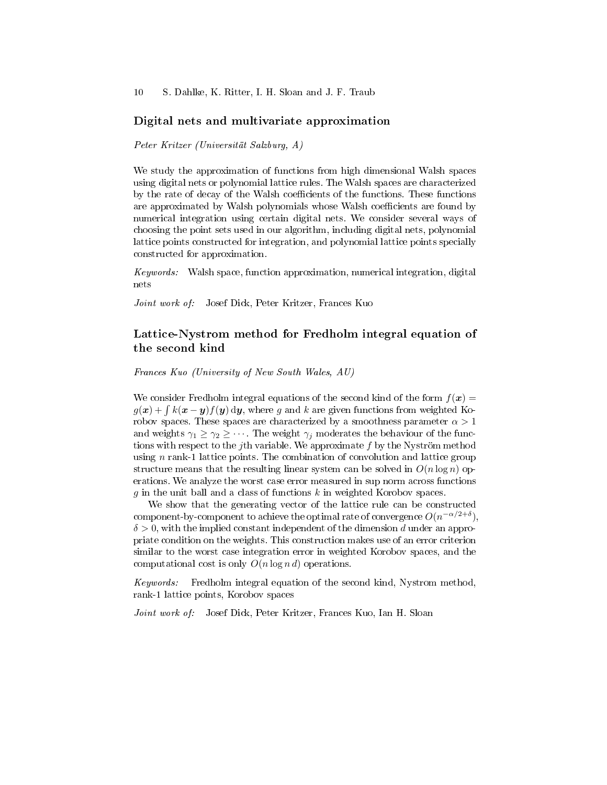10 S. Dahlke, K. Ritter, I. H. Sloan and J. F. Traub

#### Digital nets and multivariate approximation

Peter Kritzer (Universität Salzburg, A)

We study the approximation of functions from high dimensional Walsh spaces using digital nets or polynomial lattice rules. The Walsh spaces are characterized by the rate of decay of the Walsh coefficients of the functions. These functions are approximated by Walsh polynomials whose Walsh coefficients are found by numerical integration using certain digital nets. We consider several ways of choosing the point sets used in our algorithm, including digital nets, polynomial lattice points constructed for integration, and polynomial lattice points specially constructed for approximation.

Keywords: Walsh space, function approximation, numerical integration, digital nets

Joint work of: Josef Dick, Peter Kritzer, Frances Kuo

### Lattice-Nystrom method for Fredholm integral equation of the second kind

Frances Kuo (University of New South Wales, AU)

We consider Fredholm integral equations of the second kind of the form  $f(x) =$  $g(\boldsymbol{x}) + \int k(\boldsymbol{x} - \boldsymbol{y}) f(\boldsymbol{y}) \, \mathrm{d} \boldsymbol{y}$ , where  $g$  and  $k$  are given functions from weighted Korobov spaces. These spaces are characterized by a smoothness parameter  $\alpha > 1$ and weights  $\gamma_1 \geq \gamma_2 \geq \cdots$  The weight  $\gamma_i$  moderates the behaviour of the functions with respect to the *j*th variable. We approximate  $f$  by the Nyström method using  $n$  rank-1 lattice points. The combination of convolution and lattice group structure means that the resulting linear system can be solved in  $O(n \log n)$  operations. We analyze the worst case error measured in sup norm across functions q in the unit ball and a class of functions  $k$  in weighted Korobov spaces.

We show that the generating vector of the lattice rule can be constructed component-by-component to achieve the optimal rate of convergence  $O(n^{-\alpha/2+\delta}),$  $\delta > 0$ , with the implied constant independent of the dimension d under an appropriate condition on the weights. This construction makes use of an error criterion similar to the worst case integration error in weighted Korobov spaces, and the computational cost is only  $O(n \log n d)$  operations.

Keywords: Fredholm integral equation of the second kind, Nystrom method, rank-1 lattice points, Korobov spaces

Joint work of: Josef Dick, Peter Kritzer, Frances Kuo, Ian H. Sloan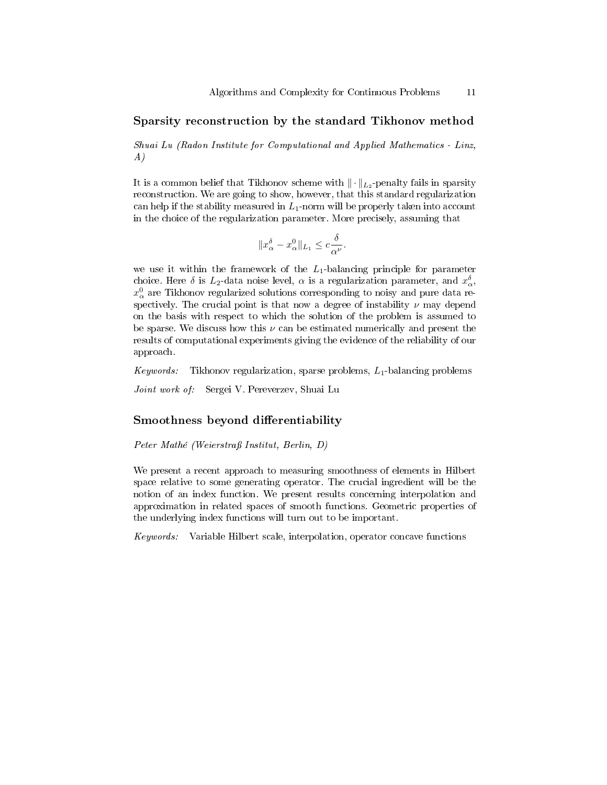#### Sparsity reconstruction by the standard Tikhonov method

Shuai Lu (Radon Institute for Computational and Applied Mathematics - Linz, A)

It is a common belief that Tikhonov scheme with  $\|\cdot\|_{L_2}$ -penalty fails in sparsity reconstruction. We are going to show, however, that this standard regularization can help if the stability measured in  $L_1$ -norm will be properly taken into account in the choice of the regularization parameter. More precisely, assuming that

$$
||x_{\alpha}^{\delta} - x_{\alpha}^{0}||_{L_{1}} \leq c \frac{\delta}{\alpha^{\nu}}.
$$

we use it within the framework of the  $L_1$ -balancing principle for parameter choice. Here  $\delta$  is  $L_2$ -data noise level,  $\alpha$  is a regularization parameter, and  $x_{\alpha}^{\delta}$ ,  $x^0_\alpha$  are Tikhonov regularized solutions corresponding to noisy and pure data respectively. The crucial point is that now a degree of instability  $\nu$  may depend on the basis with respect to which the solution of the problem is assumed to be sparse. We discuss how this  $\nu$  can be estimated numerically and present the results of computational experiments giving the evidence of the reliability of our approach.

Keywords: Tikhonov regularization, sparse problems,  $L_1$ -balancing problems

Joint work of: Sergei V. Pereverzev, Shuai Lu

### Smoothness beyond differentiability

Peter Mathé (Weierstraÿ Institut, Berlin, D)

We present a recent approach to measuring smoothness of elements in Hilbert space relative to some generating operator. The crucial ingredient will be the notion of an index function. We present results concerning interpolation and approximation in related spaces of smooth functions. Geometric properties of the underlying index functions will turn out to be important.

Keywords: Variable Hilbert scale, interpolation, operator concave functions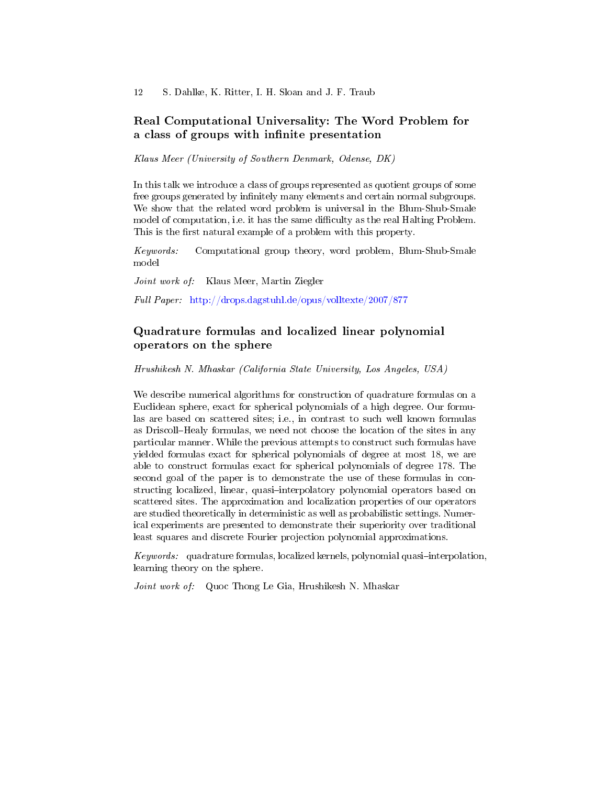# Real Computational Universality: The Word Problem for a class of groups with infinite presentation

Klaus Meer (University of Southern Denmark, Odense, DK)

In this talk we introduce a class of groups represented as quotient groups of some free groups generated by infinitely many elements and certain normal subgroups. We show that the related word problem is universal in the Blum-Shub-Smale model of computation, i.e. it has the same difficulty as the real Halting Problem. This is the first natural example of a problem with this property.

Keywords: Computational group theory, word problem, Blum-Shub-Smale model

Joint work of: Klaus Meer, Martin Ziegler

Full Paper: <http://drops.dagstuhl.de/opus/volltexte/2007/877>

# Quadrature formulas and localized linear polynomial operators on the sphere

Hrushikesh N. Mhaskar (California State University, Los Angeles, USA)

We describe numerical algorithms for construction of quadrature formulas on a Euclidean sphere, exact for spherical polynomials of a high degree. Our formulas are based on scattered sites; i.e., in contrast to such well known formulas as Driscoll–Healy formulas, we need not choose the location of the sites in any particular manner. While the previous attempts to construct such formulas have yielded formulas exact for spherical polynomials of degree at most 18, we are able to construct formulas exact for spherical polynomials of degree 178. The second goal of the paper is to demonstrate the use of these formulas in constructing localized, linear, quasi-interpolatory polynomial operators based on scattered sites. The approximation and localization properties of our operators are studied theoretically in deterministic as well as probabilistic settings. Numerical experiments are presented to demonstrate their superiority over traditional least squares and discrete Fourier projection polynomial approximations.

 $Keywords:$  quadrature formulas, localized kernels, polynomial quasi-interpolation, learning theory on the sphere.

Joint work of: Quoc Thong Le Gia, Hrushikesh N. Mhaskar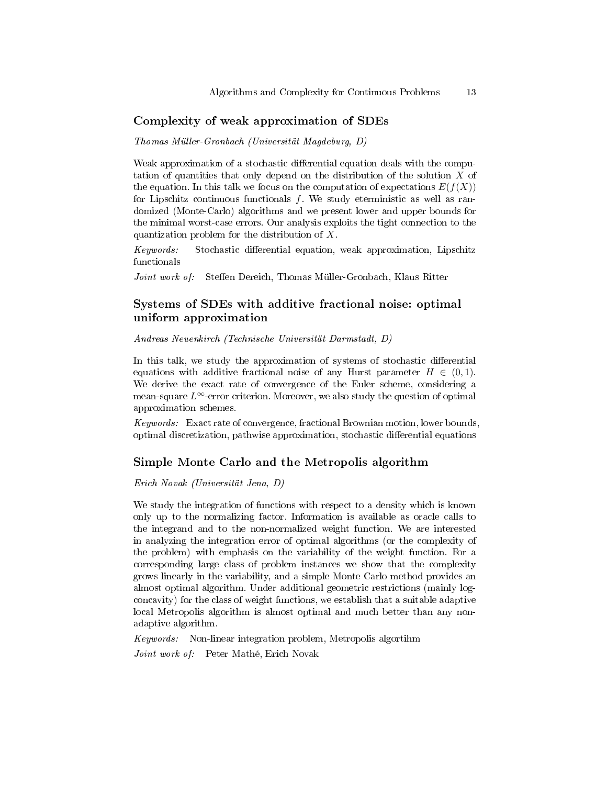### Complexity of weak approximation of SDEs

Thomas Müller-Gronbach (Universität Magdeburg, D)

Weak approximation of a stochastic differential equation deals with the computation of quantities that only depend on the distribution of the solution X of the equation. In this talk we focus on the computation of expectations  $E(f(X))$ for Lipschitz continuous functionals  $f$ . We study eterministic as well as randomized (Monte-Carlo) algorithms and we present lower and upper bounds for the minimal worst-case errors. Our analysis exploits the tight connection to the quantization problem for the distribution of X.

Keywords: Stochastic differential equation, weak approximation, Lipschitz functionals

Joint work of: Steffen Dereich, Thomas Müller-Gronbach, Klaus Ritter

# Systems of SDEs with additive fractional noise: optimal uniform approximation

Andreas Neuenkirch (Technische Universität Darmstadt, D)

In this talk, we study the approximation of systems of stochastic differential equations with additive fractional noise of any Hurst parameter  $H \in (0, 1)$ . We derive the exact rate of convergence of the Euler scheme, considering a mean-square  $L^{\infty}$ -error criterion. Moreover, we also study the question of optimal approximation schemes.

Keywords: Exact rate of convergence, fractional Brownian motion, lower bounds, optimal discretization, pathwise approximation, stochastic differential equations

#### Simple Monte Carlo and the Metropolis algorithm

Erich Novak (Universität Jena, D)

We study the integration of functions with respect to a density which is known only up to the normalizing factor. Information is available as oracle calls to the integrand and to the non-normalized weight function. We are interested in analyzing the integration error of optimal algorithms (or the complexity of the problem) with emphasis on the variability of the weight function. For a corresponding large class of problem instances we show that the complexity grows linearly in the variability, and a simple Monte Carlo method provides an almost optimal algorithm. Under additional geometric restrictions (mainly logconcavity) for the class of weight functions, we establish that a suitable adaptive local Metropolis algorithm is almost optimal and much better than any nonadaptive algorithm.

Keywords: Non-linear integration problem, Metropolis algortihm Joint work of: Peter Mathé, Erich Novak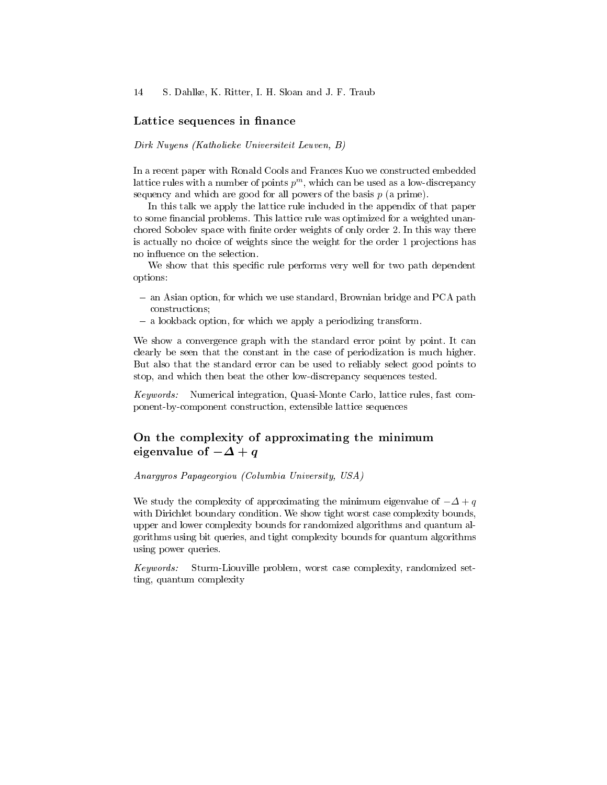#### Lattice sequences in finance

#### Dirk Nuyens (Katholieke Universiteit Leuven, B)

In a recent paper with Ronald Cools and Frances Kuo we constructed embedded lattice rules with a number of points  $p^m$ , which can be used as a low-discrepancy sequency and which are good for all powers of the basis  $p$  (a prime).

In this talk we apply the lattice rule included in the appendix of that paper to some financial problems. This lattice rule was optimized for a weighted unancharges and support of the state of the state of the state of the state of order  $2$ . In this way there is actually no choice of weights since the weight for the order 1 projections has no influence on the selection.

We show that this specific rule performs very well for two path dependent options:

- an Asian option, for which we use standard, Brownian bridge and PCA path constructions;
- a lookback option, for which we apply a periodizing transform.

We show a convergence graph with the standard error point by point. It can clearly be seen that the constant in the case of periodization is much higher. But also that the standard error can be used to reliably select good points to stop, and which then beat the other low-discrepancy sequences tested.

Keywords: Numerical integration, Quasi-Monte Carlo, lattice rules, fast component-by-component construction, extensible lattice sequences

# On the complexity of approximating the minimum eigenvalue of  $-\Delta + q$

#### Anargyros Papageorgiou (Columbia University, USA)

We study the complexity of approximating the minimum eigenvalue of  $-\Delta + q$ with Dirichlet boundary condition. We show tight worst case complexity bounds, upper and lower complexity bounds for randomized algorithms and quantum algorithms using bit queries, and tight complexity bounds for quantum algorithms using power queries.

Keywords: Sturm-Liouville problem, worst case complexity, randomized setting, quantum complexity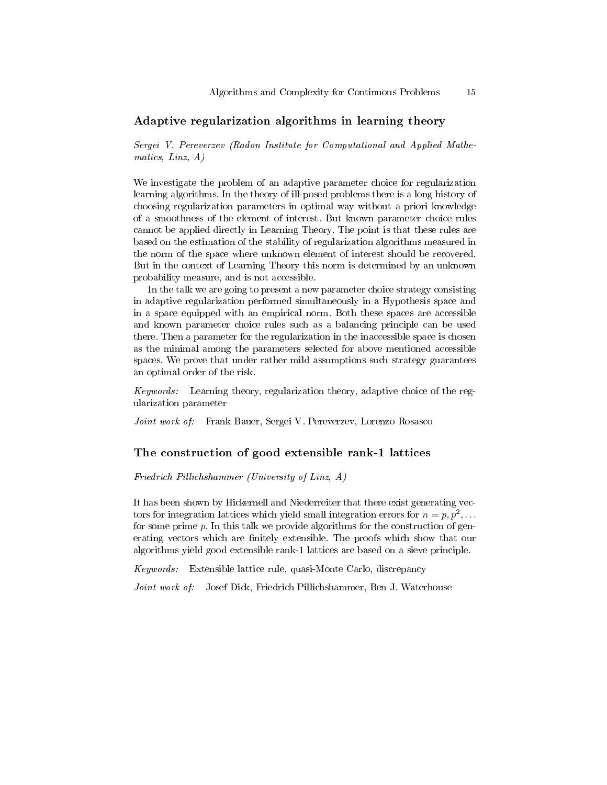### Adaptive regularization algorithms in learning theory

Sergei V. Pereverzev (Radon Institute for Computational and Applied Mathematics, Linz, A)

We investigate the problem of an adaptive parameter choice for regularization learning algorithms. In the theory of ill-posed problems there is a long history of choosing regularization parameters in optimal way without a priori knowledge of a smoothness of the element of interest. But known parameter choice rules cannot be applied directly in Learning Theory. The point is that these rules are based on the estimation of the stability of regularization algorithms measured in the norm of the space where unknown element of interest should be recovered. But in the context of Learning Theory this norm is determined by an unknown probability measure, and is not accessible.

In the talk we are going to present a new parameter choice strategy consisting in adaptive regularization performed simultaneously in a Hypothesis space and in a space equipped with an empirical norm. Both these spaces are accessible and known parameter choice rules such as a balancing principle can be used there. Then a parameter for the regularization in the inaccessible space is chosen as the minimal among the parameters selected for above mentioned accessible spaces. We prove that under rather mild assumptions such strategy guarantees an optimal order of the risk.

Keywords: Learning theory, regularization theory, adaptive choice of the regularization parameter

Joint work of: Frank Bauer, Sergei V. Pereverzev, Lorenzo Rosasco

#### The construction of good extensible rank-1 lattices

Friedrich Pillichshammer (University of Linz, A)

It has been shown by Hickernell and Niederreiter that there exist generating vectors for integration lattices which yield small integration errors for  $n = p, p^2, \ldots$ for some prime  $p$ . In this talk we provide algorithms for the construction of generating vectors which are finitely extensible. The proofs which show that our algorithms yield good extensible rank-1 lattices are based on a sieve principle.

Keywords: Extensible lattice rule, quasi-Monte Carlo, discrepancy

Joint work of: Josef Dick, Friedrich Pillichshammer, Ben J. Waterhouse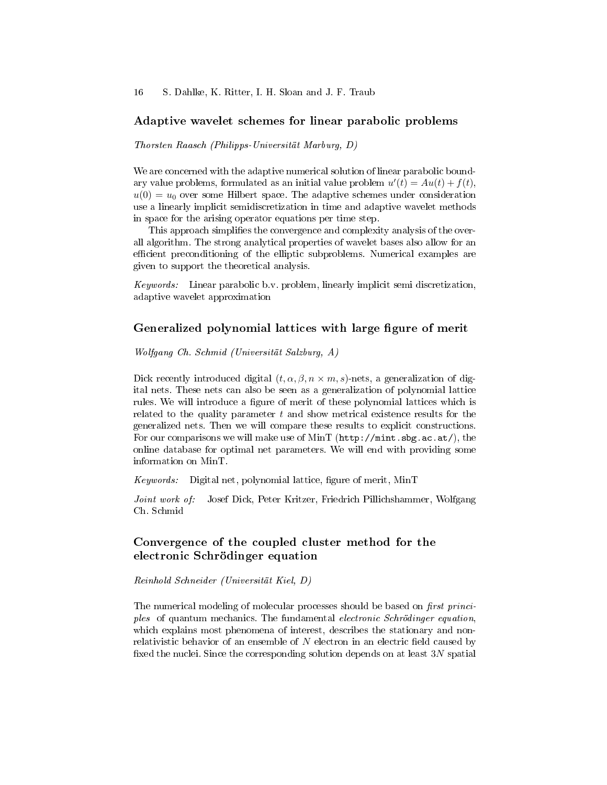### Adaptive wavelet schemes for linear parabolic problems

Thorsten Raasch (Philipps-Universität Marburg, D)

We are concerned with the adaptive numerical solution of linear parabolic boundary value problems, formulated as an initial value problem  $u'(t) = Au(t) + f(t)$ ,  $u(0) = u_0$  over some Hilbert space. The adaptive schemes under consideration use a linearly implicit semidiscretization in time and adaptive wavelet methods in space for the arising operator equations per time step.

This approach simplifies the convergence and complexity analysis of the overall algorithm. The strong analytical properties of wavelet bases also allow for an efficient preconditioning of the elliptic subproblems. Numerical examples are given to support the theoretical analysis.

Keywords: Linear parabolic b.v. problem, linearly implicit semi discretization, adaptive wavelet approximation

### Generalized polynomial lattices with large figure of merit

Wolfgang Ch. Schmid (Universität Salzburg, A)

Dick recently introduced digital  $(t, \alpha, \beta, n \times m, s)$ -nets, a generalization of digital nets. These nets can also be seen as a generalization of polynomial lattice rules. We will introduce a figure of merit of these polynomial lattices which is related to the quality parameter  $t$  and show metrical existence results for the generalized nets. Then we will compare these results to explicit constructions. For our comparisons we will make use of MinT ( $http://mint.sbg.ac.at/),$  the online database for optimal net parameters. We will end with providing some information on MinT.

 $Keywords:$  Digital net, polynomial lattice, figure of merit, MinT

Joint work of: Josef Dick, Peter Kritzer, Friedrich Pillichshammer, Wolfgang Ch. Schmid

### Convergence of the coupled cluster method for the electronic Schrödinger equation

Reinhold Schneider (Universität Kiel, D)

The numerical modeling of molecular processes should be based on *first princi*ples of quantum mechanics. The fundamental electronic Schrödinger equation, which explains most phenomena of interest, describes the stationary and nonrelativistic behavior of an ensemble of  $N$  electron in an electric field caused by fixed the nuclei. Since the corresponding solution depends on at least 3N spatial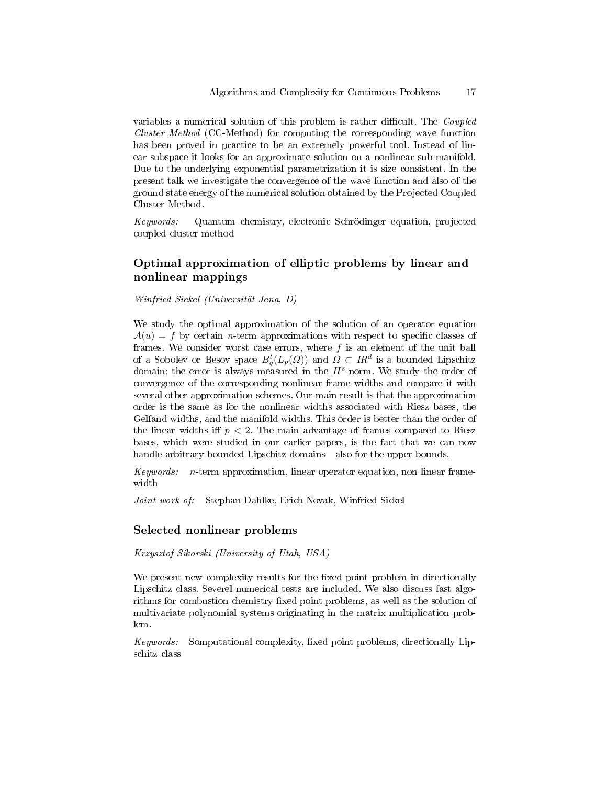variables a numerical solution of this problem is rather difficult. The  $\emph{Coupled}$ Cluster Method (CC-Method) for computing the corresponding wave function has been proved in practice to be an extremely powerful tool. Instead of linear subspace it looks for an approximate solution on a nonlinear sub-manifold. Due to the underlying exponential parametrization it is size consistent. In the present talk we investigate the convergence of the wave function and also of the ground state energy of the numerical solution obtained by the Projected Coupled Cluster Method.

Keywords: Quantum chemistry, electronic Schrödinger equation, projected coupled cluster method

# Optimal approximation of elliptic problems by linear and nonlinear mappings

Winfried Sickel (Universität Jena, D)

We study the optimal approximation of the solution of an operator equation  $\mathcal{A}(u) = f$  by certain *n*-term approximations with respect to specific classes of frames. We consider worst case errors, where  $f$  is an element of the unit ball of a Sobolev or Besov space  $B_q^t(L_p(\varOmega))$  and  $\varOmega \subset \varPi R^d$  is a bounded Lipschitz domain; the error is always measured in the  $H^s$ -norm. We study the order of convergence of the corresponding nonlinear frame widths and compare it with several other approximation schemes. Our main result is that the approximation order is the same as for the nonlinear widths associated with Riesz bases, the Gelfand widths, and the manifold widths. This order is better than the order of the linear widths iff  $p < 2$ . The main advantage of frames compared to Riesz bases, which were studied in our earlier papers, is the fact that we can now handle arbitrary bounded Lipschitz domains—also for the upper bounds.

Keywords: n-term approximation, linear operator equation, non linear framewidth

Joint work of: Stephan Dahlke, Erich Novak, Winfried Sickel

#### Selected nonlinear problems

Krzysztof Sikorski (University of Utah, USA)

We present new complexity results for the fixed point problem in directionally Lipschitz class. Severel numerical tests are included. We also discuss fast algorithms for combustion chemistry fixed point problems, as well as the solution of multivariate polynomial systems originating in the matrix multiplication problem.

Keywords: Somputational complexity, fixed point problems, directionally Lipschitz class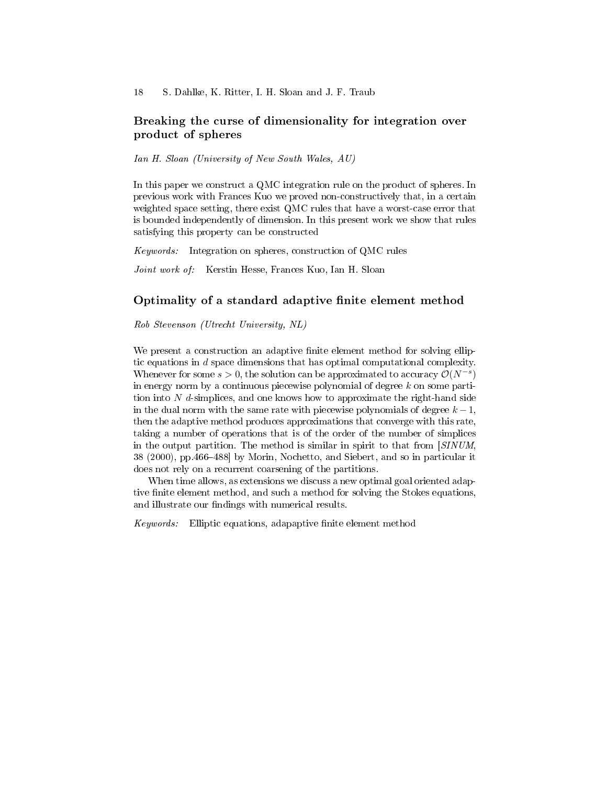### Breaking the curse of dimensionality for integration over product of spheres

Ian H. Sloan (University of New South Wales, AU)

In this paper we construct a QMC integration rule on the product of spheres. In previous work with Frances Kuo we proved non-constructively that, in a certain weighted space setting, there exist QMC rules that have a worst-case error that is bounded independently of dimension. In this present work we show that rules satisfying this property can be constructed

Keywords: Integration on spheres, construction of QMC rules

Joint work of: Kerstin Hesse, Frances Kuo, Ian H. Sloan

### Optimality of a standard adaptive finite element method

Rob Stevenson (Utrecht University, NL)

We present a construction an adaptive finite element method for solving elliptic equations in d space dimensions that has optimal computational complexity. Whenever for some  $s > 0$ , the solution can be approximated to accuracy  $\mathcal{O}(N^{-s})$ in energy norm by a continuous piecewise polynomial of degree  $k$  on some partition into  $N$  d-simplices, and one knows how to approximate the right-hand side in the dual norm with the same rate with piecewise polynomials of degree  $k-1$ , then the adaptive method produces approximations that converge with this rate, taking a number of operations that is of the order of the number of simplices in the output partition. The method is similar in spirit to that from [SINUM, 38 (2000), pp. 466–488 by Morin, Nochetto, and Siebert, and so in particular it does not rely on a recurrent coarsening of the partitions.

When time allows, as extensions we discuss a new optimal goal oriented adaptive finite element method, and such a method for solving the Stokes equations, and illustrate our findings with numerical results.

 $Keywords:$  Elliptic equations, adapaptive finite element method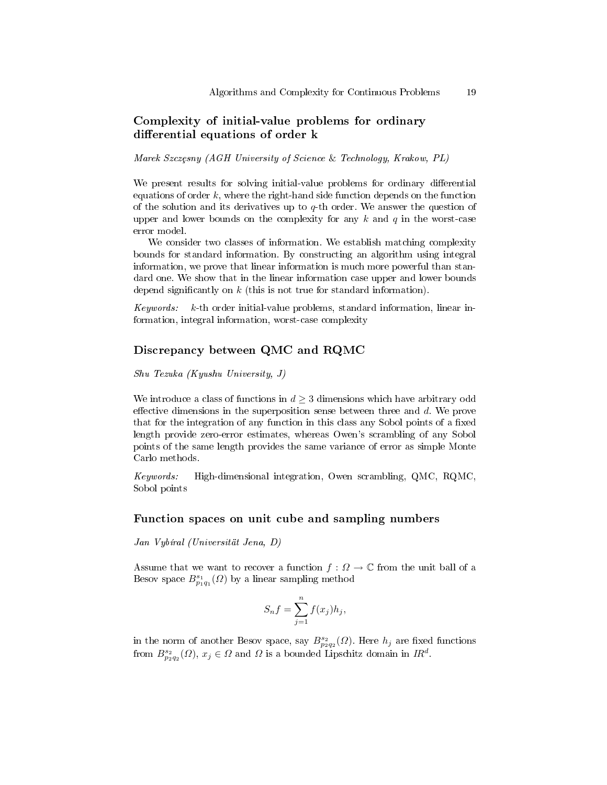### Complexity of initial-value problems for ordinary differential equations of order k

Marek Szczesny (AGH University of Science & Technology, Krakow, PL)

We present results for solving initial-value problems for ordinary differential equations of order  $k$ , where the right-hand side function depends on the function of the solution and its derivatives up to  $q$ -th order. We answer the question of upper and lower bounds on the complexity for any  $k$  and  $q$  in the worst-case error model.

We consider two classes of information. We establish matching complexity bounds for standard information. By constructing an algorithm using integral information, we prove that linear information is much more powerful than standard one. We show that in the linear information case upper and lower bounds depend significantly on  $k$  (this is not true for standard information).

Keywords: k-th order initial-value problems, standard information, linear information, integral information, worst-case complexity

### Discrepancy between QMC and RQMC

Shu Tezuka (Kyushu University, J)

We introduce a class of functions in  $d \geq 3$  dimensions which have arbitrary odd effective dimensions in the superposition sense between three and  $d$ . We prove that for the integration of any function in this class any Sobol points of a fixed length provide zero-error estimates, whereas Owen's scrambling of any Sobol points of the same length provides the same variance of error as simple Monte Carlo methods.

Keywords: High-dimensional integration, Owen scrambling, QMC, RQMC, Sobol points

### Function spaces on unit cube and sampling numbers

Jan Vybíral (Universität Jena, D)

Assume that we want to recover a function  $f: \Omega \to \mathbb{C}$  from the unit ball of a Besov space  $B_{p_1q_1}^{s_1}(Q)$  by a linear sampling method

$$
S_n f = \sum_{j=1}^n f(x_j) h_j,
$$

in the norm of another Besov space, say  $B^{s_2}_{p_2q_2}(\Omega)$ . Here  $h_j$  are fixed functions from  $B^{s_2}_{p_2q_2}(\Omega)$ ,  $x_j \in \Omega$  and  $\Omega$  is a bounded Lipschitz domain in  $IR^d$ .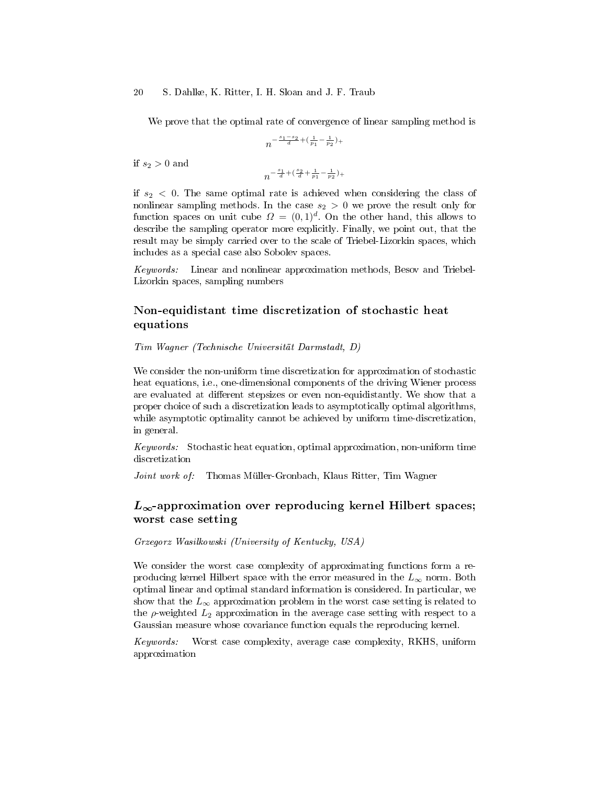#### 20 S. Dahlke, K. Ritter, I. H. Sloan and J. F. Traub

We prove that the optimal rate of convergence of linear sampling method is

$$
n^{-\frac{s_1-s_2}{d} + (\frac{1}{p_1} - \frac{1}{p_2})_+}
$$

if  $s_2 > 0$  and

$$
n^{-\frac{s_1}{d} + (\frac{s_2}{d} + \frac{1}{p_1} - \frac{1}{p_2})_+}
$$

if  $s_2$  < 0. The same optimal rate is achieved when considering the class of nonlinear sampling methods. In the case  $s_2 > 0$  we prove the result only for function spaces on unit cube  $\Omega = (0,1)^d$ . On the other hand, this allows to describe the sampling operator more explicitly. Finally, we point out, that the result may be simply carried over to the scale of Triebel-Lizorkin spaces, which includes as a special case also Sobolev spaces.

Keywords: Linear and nonlinear approximation methods, Besov and Triebel-Lizorkin spaces, sampling numbers

# Non-equidistant time discretization of stochastic heat equations

Tim Wagner (Technische Universität Darmstadt, D)

We consider the non-uniform time discretization for approximation of stochastic heat equations, i.e., one-dimensional components of the driving Wiener process are evaluated at different stepsizes or even non-equidistantly. We show that a proper choice of such a discretization leads to asymptotically optimal algorithms, while asymptotic optimality cannot be achieved by uniform time-discretization, in general.

Keywords: Stochastic heat equation, optimal approximation, non-uniform time discretization

Joint work of: Thomas Müller-Gronbach, Klaus Ritter, Tim Wagner

# $L_{\infty}$ -approximation over reproducing kernel Hilbert spaces; worst case setting

Grzegorz Wasilkowski (University of Kentucky, USA)

We consider the worst case complexity of approximating functions form a reproducing kernel Hilbert space with the error measured in the  $L_{\infty}$  norm. Both optimal linear and optimal standard information is considered. In particular, we show that the  $L_{\infty}$  approximation problem in the worst case setting is related to the  $\rho$ -weighted  $L_2$  approximation in the average case setting with respect to a Gaussian measure whose covariance function equals the reproducing kernel.

Keywords: Worst case complexity, average case complexity, RKHS, uniform approximation